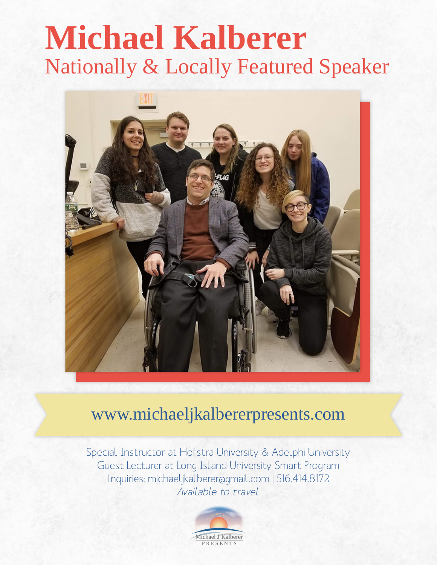# **Michael Kalberer** Nationally & Locally Featured Speaker



## www.michaeljkalbererpresents.com

Special Instructor at Hofstra University & Adelphi University Guest Lecturer at Long Island University Smart Program Inquiries: michaeljkalberer@gmail.com | 516.414.8172 Available to travel